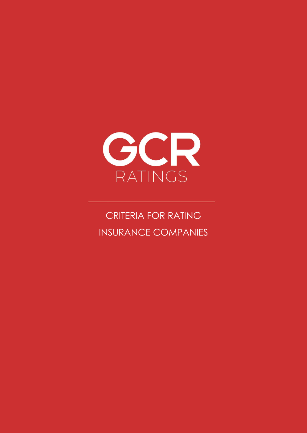

# CRITERIA FOR RATING INSURANCE COMPANIES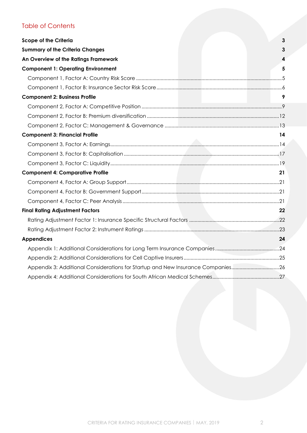# Table of Contents

| <b>Scope of the Criteria</b>                                                    | $\mathbf{3}$            |
|---------------------------------------------------------------------------------|-------------------------|
| <b>Summary of the Criteria Changes</b>                                          | 3                       |
| An Overview of the Ratings Framework                                            | 4                       |
| <b>Component 1: Operating Environment</b>                                       | $\overline{\mathbf{5}}$ |
|                                                                                 |                         |
|                                                                                 |                         |
| <b>Component 2: Business Profile</b>                                            | 9                       |
|                                                                                 |                         |
|                                                                                 |                         |
|                                                                                 |                         |
| <b>Component 3: Financial Profile</b>                                           | 14                      |
|                                                                                 |                         |
|                                                                                 |                         |
|                                                                                 |                         |
| <b>Component 4: Comparative Profile</b>                                         | 21                      |
|                                                                                 |                         |
|                                                                                 |                         |
|                                                                                 |                         |
| <b>Final Rating Adjustment Factors</b>                                          | 22                      |
|                                                                                 |                         |
|                                                                                 |                         |
| <b>Appendices</b>                                                               | 24                      |
|                                                                                 |                         |
|                                                                                 |                         |
| Appendix 3: Additional Considerations for Startup and New Insurance Companies26 |                         |
|                                                                                 |                         |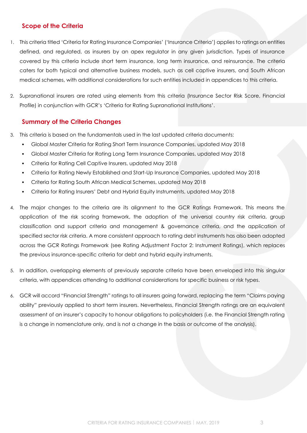### <span id="page-2-0"></span>**Scope of the Criteria**

- 1. This criteria titled 'Criteria for Rating Insurance Companies' ('Insurance Criteria') applies to ratings on entities defined, and regulated, as insurers by an apex regulator in any given jurisdiction. Types of insurance covered by this criteria include short term insurance, long term insurance, and reinsurance. The criteria caters for both typical and alternative business models, such as cell captive insurers, and South African medical schemes, with additional considerations for such entities included in appendices to this criteria.
- 2. Supranational insurers are rated using elements from this criteria (Insurance Sector Risk Score, Financial Profile) in conjunction with GCR's 'Criteria for Rating Supranational Institutions'.

### <span id="page-2-1"></span>**Summary of the Criteria Changes**

- 3. This criteria is based on the fundamentals used in the last updated criteria documents:
	- Global Master Criteria for Rating Short Term Insurance Companies, updated May 2018
	- Global Master Criteria for Rating Long Term Insurance Companies, updated May 2018
	- Criteria for Rating Cell Captive Insurers, updated May 2018
	- Criteria for Rating Newly Established and Start-Up Insurance Companies, updated May 2018
	- Criteria for Rating South African Medical Schemes, updated May 2018
	- Criteria for Rating Insurers' Debt and Hybrid Equity Instruments, updated May 2018
- 4. The major changes to the criteria are its alignment to the GCR Ratings Framework. This means the application of the risk scoring framework, the adoption of the universal country risk criteria, group classification and support criteria and management & governance criteria, and the application of specified sector risk criteria. A more consistent approach to rating debt instruments has also been adopted across the GCR Ratings Framework (see [Rating Adjustment Factor 2: Instrument Ratings\)](#page-22-0), which replaces the previous insurance-specific criteria for debt and hybrid equity instruments.
- 5. In addition, overlapping elements of previously separate criteria have been enveloped into this singular criteria, with appendices attending to additional considerations for specific business or risk types.
- <span id="page-2-2"></span>6. GCR will accord "Financial Strength" ratings to all insurers going forward, replacing the term "Claims paying ability" previously applied to short term insurers. Nevertheless, Financial Strength ratings are an equivalent assessment of an insurer's capacity to honour obligations to policyholders (i.e. the Financial Strength rating is a change in nomenclature only, and is not a change in the basis or outcome of the analysis).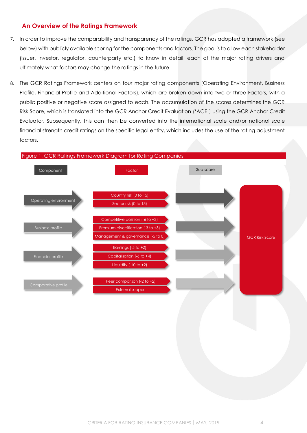### **An Overview of the Ratings Framework**

- 7. In order to improve the comparability and transparency of the ratings, GCR has adopted a framework (see below) with publicly available scoring for the components and factors. The goal is to allow each stakeholder (issuer, investor, regulator, counterparty etc.) to know in detail, each of the major rating drivers and ultimately what factors may change the ratings in the future.
- 8. The GCR Ratings Framework centers on four major rating components (Operating Environment, Business Profile, Financial Profile and Additional Factors), which are broken down into two or three Factors, with a public positive or negative score assigned to each. The accumulation of the scores determines the GCR Risk Score, which is translated into the GCR Anchor Credit Evaluation ('ACE') using the GCR Anchor Credit Evaluator. Subsequently, this can then be converted into the international scale and/or national scale financial strength credit ratings on the specific legal entity, which includes the use of the rating adjustment factors.

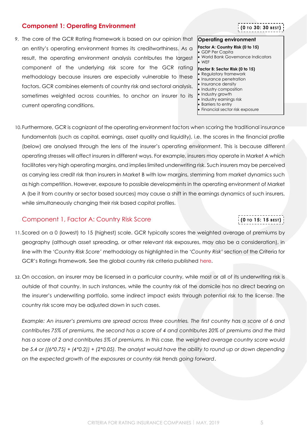### <span id="page-4-0"></span>**Component 1: Operating Environment**

9. The core of the GCR Rating Framework is based on our opinion that an entity's operating environment frames its creditworthiness. As a result, the operating environment analysis contributes the largest component of the underlying risk score for the GCR rating methodology because insurers are especially vulnerable to these factors. GCR combines elements of country risk and sectoral analysis, sometimes weighted across countries, to anchor an insurer to its current operating conditions.

# **(0 TO 30: 30 BEST)**

**(0 TO 15: 15 BEST)**

#### **Operating environment**

- **Factor A: Country Risk (0 to 15)**
- GDP Per Capita
- World Bank Governance Indicators • WEF

#### **Factor B: Sector Risk (0 to 15)**

- Regulatory framework
- Insurance penetration
- Insurance density
- Industry composition
- Industry growth • Industry earnings risk
- Barriers to entry
- Financial sector risk exposure

10.Furthermore, GCR is cognizant of the operating environment factors when scoring the traditional insurance fundamentals (such as capital, earnings, asset quality and liquidity), i.e. the scores in the financial profile (below) are analysed through the lens of the insurer's operating environment. This is because different operating stresses will affect insurers in different ways. For example, insurers may operate in Market A which facilitates very high operating margins, and implies limited underwriting risk. Such insurers may be perceived as carrying less credit risk than insurers in Market B with low margins, stemming from market dynamics such as high competition. However, exposure to possible developments in the operating environment of Market A (be it from country or sector based sources) may cause a shift in the earnings dynamics of such insurers, while simultaneously changing their risk based capital profiles.

### <span id="page-4-1"></span>Component 1, Factor A: Country Risk Score

# 11.Scored on a 0 (lowest) to 15 (highest) scale. GCR typically scores the weighted average of premiums by geography (although asset spreading, or other relevant risk exposures, may also be a consideration), in line with the *'Country Risk Score'* methodology as highlighted in the '*Country Risk'* section of the Criteria for GCR's Ratings Framework*.* See the global country risk criteria published [here.](http://gcrratings.com/criteria)

12. On occasion, an insurer may be licensed in a particular country, while most or all of its underwriting risk is outside of that country. In such instances, while the country risk of the domicile has no direct bearing on the insurer's underwriting portfolio, some indirect impact exists through potential risk to the license. The country risk score may be adjusted down in such cases.

*Example: An insurer's premiums are spread across three countries. The first country has a score of 6 and contributes 75% of premiums, the second has a score of 4 and contributes 20% of premiums and the third has a score of 2 and contributes 5% of premiums. In this case, the weighted average country score would be 5.4 or ((6\*0.75) + (4\*0.2)) + (2\*0.05). The analyst would have the ability to round up or down depending on the expected growth of the exposures or country risk trends going forward*.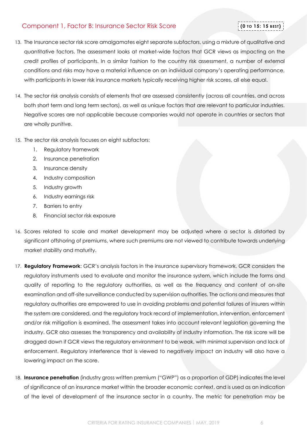### <span id="page-5-0"></span>Component 1, Factor B: Insurance Sector Risk Score

- 13. The Insurance sector risk score amalgamates eight separate subfactors, using a mixture of qualitative and quantitative factors. The assessment looks at market-wide factors that GCR views as impacting on the credit profiles of participants. In a similar fashion to the country risk assessment, a number of external conditions and risks may have a material influence on an individual company's operating performance, with participants in lower risk insurance markets typically receiving higher risk scores, all else equal.
- 14. The sector risk analysis consists of elements that are assessed consistently (across all countries, and across both short term and long term sectors), as well as unique factors that are relevant to particular industries. Negative scores are not applicable because companies would not operate in countries or sectors that are wholly punitive.
- 15. The sector risk analysis focuses on eight subfactors:
	- 1. Regulatory framework
	- 2. Insurance penetration
	- 3. Insurance density
	- 4. Industry composition
	- 5. Industry growth
	- 6. Industry earnings risk
	- 7. Barriers to entry
	- 8. Financial sector risk exposure
- 16. Scores related to scale and market development may be adjusted where a sector is distorted by significant offshoring of premiums, where such premiums are not viewed to contribute towards underlying market stability and maturity.
- 17. **Regulatory Framework**: GCR's analysis factors in the insurance supervisory framework. GCR considers the regulatory instruments used to evaluate and monitor the insurance system, which include the forms and quality of reporting to the regulatory authorities, as well as the frequency and content of on-site examination and off-site surveillance conducted by supervision authorities. The actions and measures that regulatory authorities are empowered to use in avoiding problems and potential failures of insurers within the system are considered, and the regulatory track record of implementation, intervention, enforcement and/or risk mitigation is examined. The assessment takes into account relevant legislation governing the industry. GCR also assesses the transparency and availability of industry information. The risk score will be dragged down if GCR views the regulatory environment to be weak, with minimal supervision and lack of enforcement. Regulatory interference that is viewed to negatively impact an industry will also have a lowering impact on the score.
- 18. **Insurance penetration** (industry gross written premium ("GWP") as a proportion of GDP) indicates the level of significance of an insurance market within the broader economic context, and is used as an indication of the level of development of the insurance sector in a country. The metric for penetration may be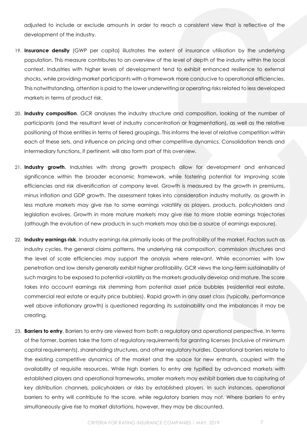adjusted to include or exclude amounts in order to reach a consistent view that is reflective of the development of the industry.

- 19. **Insurance density** (GWP per capita) illustrates the extent of insurance utilisation by the underlying population. This measure contributes to an overview of the level of depth of the industry within the local context. Industries with higher levels of development tend to exhibit enhanced resilience to external shocks, while providing market participants with a framework more conducive to operational efficiencies. This notwithstanding, attention is paid to the lower underwriting or operating risks related to less developed markets in terms of product risk.
- 20. **Industry composition**. GCR analyses the industry structure and composition, looking at the number of participants (and the resultant level of industry concentration or fragmentation), as well as the relative positioning of those entities in terms of tiered groupings. This informs the level of relative competition within each of these sets, and influence on pricing and other competitive dynamics. Consolidation trends and intermediary functions, if pertinent, will also form part of this overview.
- 21. **Industry growth**. Industries with strong growth prospects allow for development and enhanced significance within the broader economic framework, while fostering potential for improving scale efficiencies and risk diversification at company level. Growth is measured by the growth in premiums, minus inflation and GDP growth. The assessment takes into consideration industry maturity, as growth in less mature markets may give rise to some earnings volatility as players, products, policyholders and legislation evolves. Growth in more mature markets may give rise to more stable earnings trajectories (although the evolution of new products in such markets may also be a source of earnings exposure).
- 22. **Industry earnings risk**. Industry earnings risk primarily looks at the profitability of the market. Factors such as industry cycles, the general claims patterns, the underlying risk composition, commission structures and the level of scale efficiencies may support the analysis where relevant. While economies with low penetration and low density generally exhibit higher profitability, GCR views the long-term sustainability of such margins to be exposed to potential volatility as the markets gradually develop and mature. The score takes into account earnings risk stemming from potential asset price bubbles (residential real estate, commercial real estate or equity price bubbles). Rapid growth in any asset class (typically, performance well above inflationary growth) is questioned regarding its sustainability and the imbalances it may be creating.
- 23. **Barriers to entry**. Barriers to entry are viewed from both a regulatory and operational perspective. In terms of the former, barriers take the form of regulatory requirements for granting licenses (inclusive of minimum capital requirements), shareholding structures, and other regulatory hurdles. Operational barriers relate to the existing competitive dynamics of the market and the space for new entrants, coupled with the availability of requisite resources. While high barriers to entry are typified by advanced markets with established players and operational frameworks, smaller markets may exhibit barriers due to capturing of key distribution channels, policyholders or risks by established players. In such instances, operational barriers to entry will contribute to the score, while regulatory barriers may not. Where barriers to entry simultaneously give rise to market distortions, however, they may be discounted.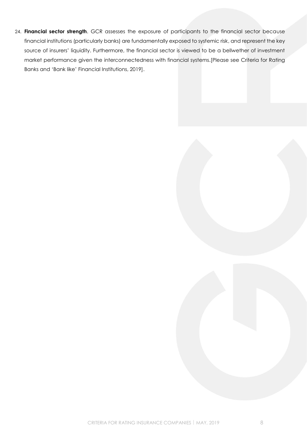24. **Financial sector strength**. GCR assesses the exposure of participants to the financial sector because financial institutions (particularly banks) are fundamentally exposed to systemic risk, and represent the key source of insurers' liquidity. Furthermore, the financial sector is viewed to be a bellwether of investment market performance given the interconnectedness with financial systems.[Please see Criteria for Rating Banks and 'Bank like' Financial Institutions, 2019].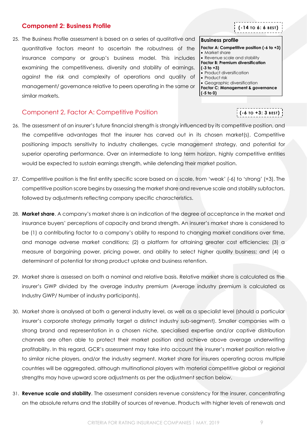### <span id="page-8-0"></span>**Component 2: Business Profile**

25. The Business Profile assessment is based on a series of qualitative and quantitative factors meant to ascertain the robustness of the insurance company or group's business model. This includes examining the competitiveness, diversity and stability of earnings, against the risk and complexity of operations and quality of management/ governance relative to peers operating in the same or similar markets.

### <span id="page-8-1"></span>Component 2, Factor A: Competitive Position

- 26. The assessment of an insurer's future financial strength is strongly influenced by its competitive position, and the competitive advantages that the insurer has carved out in its chosen market(s). Competitive positioning impacts sensitivity to industry challenges, cycle management strategy, and potential for superior operating performance. Over an intermediate to long term horizon, highly competitive entities would be expected to sustain earnings strength, while defending their market position.
- 27. Competitive position is the first entity specific score based on a scale, from 'weak' (-6) to 'strong' (+3). The competitive position score begins by assessing the market share and revenue scale and stability subfactors, followed by adjustments reflecting company specific characteristics.
- 28. **Market share**. A company's market share is an indication of the degree of acceptance in the market and insurance buyers' perceptions of capacity and brand strength. An insurer's market share is considered to be (1) a contributing factor to a company's ability to respond to changing market conditions over time, and manage adverse market conditions; (2) a platform for attaining greater cost efficiencies; (3) a measure of bargaining power, pricing power, and ability to select higher quality business; and (4) a determinant of potential for strong product uptake and business retention.
- 29. Market share is assessed on both a nominal and relative basis. Relative market share is calculated as the insurer's GWP divided by the average industry premium (Average industry premium is calculated as Industry GWP/ Number of industry participants).
- 30. Market share is analysed at both a general industry level, as well as a specialist level (should a particular insurer's corporate strategy primarily target a distinct industry sub-segment). Smaller companies with a strong brand and representation in a chosen niche, specialised expertise and/or captive distribution channels are often able to protect their market position and achieve above average underwriting profitability. In this regard, GCR's assessment may take into account the insurer's market position relative to similar niche players, and/or the industry segment. Market share for insurers operating across multiple countries will be aggregated, although multinational players with material competitive global or regional strengths may have upward score adjustments as per the adjustment section below.
- 31. **Revenue scale and stability**. The assessment considers revenue consistency for the insurer, concentrating on the absolute returns and the stability of sources of revenue. Products with higher levels of renewals and

# **(-14 TO 6: 6 BEST )**

**(-6 TO +3: 3 BEST )**

#### **Business profile**

**Factor A: Competitive position (-6 to +3)** • Market share • Revenue scale and stability **Factor B: Premium diversification (-3 to +3)** • Product diversification • Product risk • Geographic diversification **Factor C: Management & governance (-5 to 0)**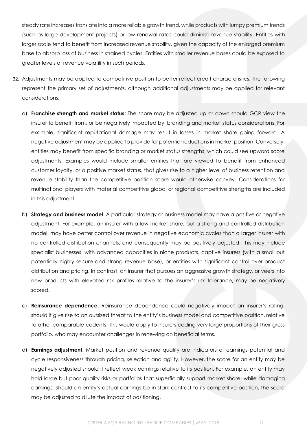steady rate increases translate into a more reliable growth trend, while products with lumpy premium trends (such as large development projects) or low renewal rates could diminish revenue stability. Entities with larger scale tend to benefit from increased revenue stability, given the capacity of the enlarged premium base to absorb loss of business in strained cycles. Entities with smaller revenue bases could be exposed to greater levels of revenue volatility in such periods.

- 32. Adjustments may be applied to competitive position to better reflect credit characteristics. The following represent the primary set of adjustments, although additional adjustments may be applied for relevant considerations:
	- a) **Franchise strength and market status**: The score may be adjusted up or down should GCR view the insurer to benefit from, or be negatively impacted by, branding and market status considerations. For example, significant reputational damage may result in losses in market share going forward. A negative adjustment may be applied to provide for potential reductions in market position. Conversely, entities may benefit from specific branding or market status strengths, which could see upward score adjustments. Examples would include smaller entities that are viewed to benefit from enhanced customer loyalty, or a positive market status, that gives rise to a higher level of business retention and revenue stability than the competitive position score would otherwise convey. Considerations for multinational players with material competitive global or regional competitive strengths are included in this adjustment.
	- b) **Strategy and business model**. A particular strategy or business model may have a positive or negative adjustment. For example, an insurer with a low market share, but a strong and controlled distribution model, may have better control over revenue in negative economic cycles than a larger insurer with no controlled distribution channels, and consequently may be positively adjusted. This may include specialist businesses, with advanced capacities in niche products, captive insurers (with a small but potentially highly secure and strong revenue base), or entities with significant control over product distribution and pricing. In contrast, an insurer that pursues an aggressive growth strategy, or veers into new products with elevated risk profiles relative to the insurer's risk tolerance, may be negatively scored.
	- c) **Reinsurance dependence**. Reinsurance dependence could negatively impact an insurer's rating, should it give rise to an outsized threat to the entity's business model and competitive position, relative to other comparable cedents. This would apply to insurers ceding very large proportions of their gross portfolio, who may encounter challenges in renewing on beneficial terms.
	- d) **Earnings adjustment**. Market position and revenue quality are indicators of earnings potential and cycle responsiveness through pricing, selection and agility. However, the score for an entity may be negatively adjusted should it reflect weak earnings relative to its position. For example, an entity may hold large but poor quality risks or portfolios that superficially support market share, while damaging earnings. Should an entity's actual earnings be in stark contrast to its competitive position, the score may be adjusted to dilute the impact of positioning.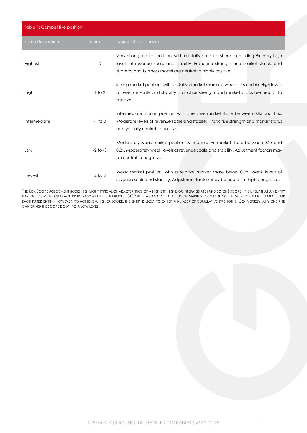| Table 1: Competitive position |              |                                                                                                                                                                                                                                      |
|-------------------------------|--------------|--------------------------------------------------------------------------------------------------------------------------------------------------------------------------------------------------------------------------------------|
| Score description             | Score        | <b>Typical characteristics</b>                                                                                                                                                                                                       |
| Highest                       | 3            | Very strong market position, with a relative market share exceeding 6x. Very high<br>levels of revenue scale and stability. Franchise strength and market status, and<br>strategy and business model are neutral to highly positive. |
| High                          | 1 to 2       | Strong market position, with a relative market share between 1.5x and 6x. High levels<br>of revenue scale and stability. Franchise strength and market status are neutral to<br>positive.                                            |
| Intermediate                  | $-1$ to 0    | Intermediate market position, with a relative market share between 0.8x and 1.5x.<br>Moderate levels of revenue scale and stability. Franchise strength and market status<br>are typically neutral to positive.                      |
| Low                           | $-2$ to $-3$ | Moderately weak market position, with a relative market share between 0.2x and<br>0.8x. Moderately weak levels of revenue scale and stability. Adjustment factors may<br>be neutral to negative.                                     |
| Lowest                        | $-4$ to $-6$ | Weak market position, with a relative market share below 0.2x. Weak levels of<br>revenue scale and stability. Adjustment factors may be neutral to highly negative.                                                                  |

THE RISK SCORE ASSESSMENT BOXES HIGHLIGHT TYPICAL CHARACTERISTICS OF A HIGHEST, HIGH, OR INTERMEDIATE (AND SO ON) SCORE. IT IS LIKELY THAT AN ENTITY HAS ONE OR MORE CHARACTERISTIC ACROSS DIFFERENT BOXES. GCR ALLOWS ANALYTICAL DECISION MAKING TO DECIDE ON THE MOST PERTINENT ELEMENTS FOR EACH RATED ENTITY. HOWEVER, TO ACHIEVE A HIGHER SCORE, THE ENTITY IS LIKELY TO EXHIBIT A NUMBER OF CUMULATIVE STRENGTHS. CONVERSELY, ANY ONE RISK CAN BRING THE SCORE DOWN TO A LOW LEVEL.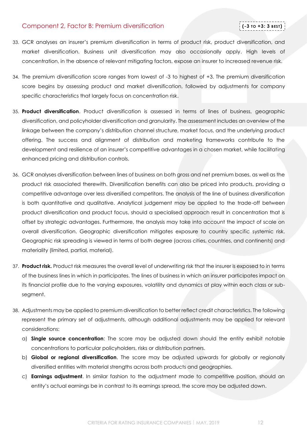### <span id="page-11-0"></span>Component 2, Factor B: Premium diversification

- 33. GCR analyses an insurer's premium diversification in terms of product risk, product diversification, and market diversification. Business unit diversification may also occasionally apply. High levels of concentration, in the absence of relevant mitigating factors, expose an insurer to increased revenue risk.
- 34. The premium diversification score ranges from lowest of -3 to highest of +3. The premium diversification score begins by assessing product and market diversification, followed by adjustments for company specific characteristics that largely focus on concentration risk.
- 35. **Product diversification**. Product diversification is assessed in terms of lines of business, geographic diversification, and policyholder diversification and granularity. The assessment includes an overview of the linkage between the company's distribution channel structure, market focus, and the underlying product offering. The success and alignment of distribution and marketing frameworks contribute to the development and resilience of an insurer's competitive advantages in a chosen market, while facilitating enhanced pricing and distribution controls.
- 36. GCR analyses diversification between lines of business on both gross and net premium bases, as well as the product risk associated therewith. Diversification benefits can also be priced into products, providing a competitive advantage over less diversified competitors. The analysis of the line of business diversification is both quantitative and qualitative. Analytical judgement may be applied to the trade-off between product diversification and product focus, should a specialised approach result in concentration that is offset by strategic advantages. Furthermore, the analysis may take into account the impact of scale on overall diversification. Geographic diversification mitigates exposure to country specific systemic risk. Geographic risk spreading is viewed in terms of both degree (across cities, countries, and continents) and materiality (limited, partial, material).
- 37. **Product risk.** Product risk measures the overall level of underwriting risk that the insurer is exposed to in terms of the business lines in which in participates. The lines of business in which an insurer participates impact on its financial profile due to the varying exposures, volatility and dynamics at play within each class or subsegment.
- 38. Adjustments may be applied to premium diversification to better reflect credit characteristics. The following represent the primary set of adjustments, although additional adjustments may be applied for relevant considerations:
	- a) **Single source concentration**: The score may be adjusted down should the entity exhibit notable concentrations to particular policyholders, risks or distribution partners.
	- b) **Global or regional diversification**. The score may be adjusted upwards for globally or regionally diversified entities with material strengths across both products and geographies.
	- c) **Earnings adjustment**. In similar fashion to the adjustment made to competitive position, should an entity's actual earnings be in contrast to its earnings spread, the score may be adjusted down.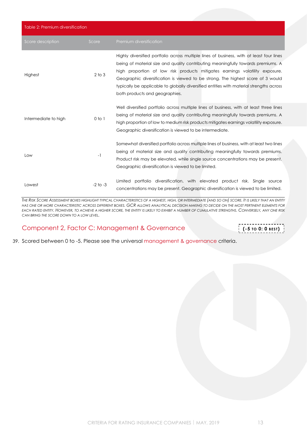| Table 2: Premium diversification |              |                                                                                                                                                                                                                                                                                                                                                                                                                                                                              |
|----------------------------------|--------------|------------------------------------------------------------------------------------------------------------------------------------------------------------------------------------------------------------------------------------------------------------------------------------------------------------------------------------------------------------------------------------------------------------------------------------------------------------------------------|
| Score description                | Score        | Premium diversification                                                                                                                                                                                                                                                                                                                                                                                                                                                      |
| Highest                          | $2$ to $3$   | Highly diversified portfolio across multiple lines of business, with at least four lines<br>being of material size and quality contributing meaningfully towards premiums. A<br>high proportion of low risk products mitigates earnings volatility exposure.<br>Geographic diversification is viewed to be strong. The highest score of 3 would<br>typically be applicable to globally diversified entities with material strengths across<br>both products and geographies. |
| Intermediate to high             | $0$ to $1$   | Well diversified portfolio across multiple lines of business, with at least three lines<br>being of material size and quality contributing meaningfully towards premiums. A<br>high proportion of low to medium risk products mitigates earnings volatility exposure.<br>Geographic diversification is viewed to be intermediate.                                                                                                                                            |
| Low                              | $-1$         | Somewhat diversified portfolio across multiple lines of business, with at least two lines<br>being of material size and quality contributing meaningfully towards premiums.<br>Product risk may be elevated, while single source concentrations may be present.<br>Geographic diversification is viewed to be limited.                                                                                                                                                       |
| Lowest                           | $-2$ to $-3$ | portfolio diversification, with elevated product risk. Single source<br>Limited<br>concentrations may be present. Geographic diversification is viewed to be limited.                                                                                                                                                                                                                                                                                                        |

THE RISK SCORE ASSESSMENT BOXES HIGHLIGHT TYPICAL CHARACTERISTICS OF A HIGHEST, HIGH, OR INTERMEDIATE (AND SO ON) SCORE. IT IS LIKELY THAT AN ENTITY *HAS ONE OR MORE CHARACTERISTIC ACROSS DIFFERENT BOXES. GCR ALLOWS ANALYTICAL DECISION MAKING TO DECIDE ON THE MOST PERTINENT ELEMENTS FOR*  EACH RATED ENTITY. HOWEVER, TO ACHIEVE A HIGHER SCORE, THE ENTITY IS LIKELY TO EXHIBIT A NUMBER OF CUMULATIVE STRENGTHS. CONVERSELY, ANY ONE RISK *CAN BRING THE SCORE DOWN TO A LOW LEVEL.*

<span id="page-12-0"></span>Component 2, Factor C: Management & Governance

**(-5 TO 0: 0 BEST )**

39. Scored between 0 to -5. Please see the universal [management & governance](http://gcrratings.com/criteria) criteria.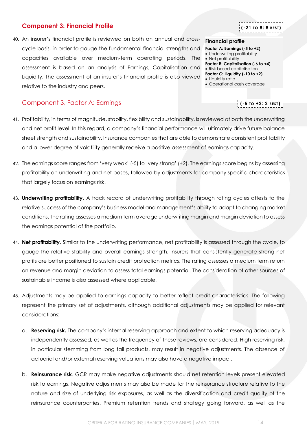### <span id="page-13-0"></span>**Component 3: Financial Profile**

40. An insurer's financial profile is reviewed on both an annual and crosscycle basis, in order to gauge the fundamental financial strengths and capacities available over medium-term operating periods. The assessment is based on an analysis of Earnings, Capitalisation and Liquidity. The assessment of an insurer's financial profile is also viewed relative to the industry and peers.

### <span id="page-13-1"></span>Component 3, Factor A: Earnings

- 41. Profitability, in terms of magnitude, stability, flexibility and sustainability, is reviewed at both the underwriting and net profit level. In this regard, a company's financial performance will ultimately drive future balance sheet strength and sustainability. Insurance companies that are able to demonstrate consistent profitability and a lower degree of volatility generally receive a positive assessment of earnings capacity.
- 42. The earnings score ranges from 'very weak' (-5) to 'very strong' (+2). The earnings score begins by assessing profitability on underwriting and net bases, followed by adjustments for company specific characteristics that largely focus on earnings risk.
- 43. **Underwriting profitability**. A track record of underwriting profitability through rating cycles attests to the relative success of the company's business model and management's ability to adapt to changing market conditions. The rating assesses a medium term average underwriting margin and margin deviation to assess the earnings potential of the portfolio.
- 44. **Net profitability**. Similar to the underwriting performance, net profitability is assessed through the cycle, to gauge the relative stability and overall earnings strength. Insurers that consistently generate strong net profits are better positioned to sustain credit protection metrics. The rating assesses a medium term return on revenue and margin deviation to assess total earnings potential. The consideration of other sources of sustainable income is also assessed where applicable.
- 45. Adjustments may be applied to earnings capacity to better reflect credit characteristics. The following represent the primary set of adjustments, although additional adjustments may be applied for relevant considerations:
	- a. **Reserving risk.** The company's internal reserving approach and extent to which reserving adequacy is independently assessed, as well as the frequency of these reviews, are considered. High reserving risk, in particular stemming from long tail products, may result in negative adjustments. The absence of actuarial and/or external reserving valuations may also have a negative impact.
	- b. **Reinsurance risk**. GCR may make negative adjustments should net retention levels present elevated risk to earnings. Negative adjustments may also be made for the reinsurance structure relative to the nature and size of underlying risk exposures, as well as the diversification and credit quality of the reinsurance counterparties. Premium retention trends and strategy going forward, as well as the

**(-21 TO 8: 8 BEST )**

**(-5 TO +2: 2 BEST )**

**Financial profile Factor A: Earnings (-5 to +2)** • Underwriting profitability • Net profitability **Factor B: Capitalisation (-6 to +4)** • Risk based capitalisation **Factor C: Liquidity (-10 to +2)** • Liquidity ratio • Operational cash coverage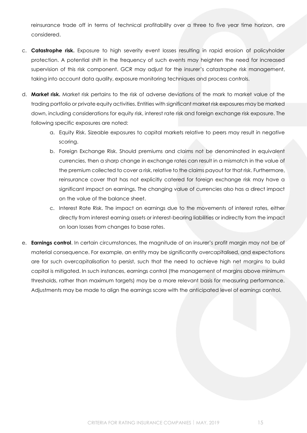reinsurance trade off in terms of technical profitability over a three to five year time horizon, are considered.

- c. **Catastrophe risk.** Exposure to high severity event losses resulting in rapid erosion of policyholder protection. A potential shift in the frequency of such events may heighten the need for increased supervision of this risk component. GCR may adjust for the insurer's catastrophe risk management, taking into account data quality, exposure monitoring techniques and process controls.
- d. **Market risk.** Market risk pertains to the risk of adverse deviations of the mark to market value of the trading portfolio or private equity activities. Entities with significant market risk exposures may be marked down, including considerations for equity risk, interest rate risk and foreign exchange risk exposure. The following specific exposures are noted:
	- a. Equity Risk. Sizeable exposures to capital markets relative to peers may result in negative scoring.
	- b. Foreign Exchange Risk. Should premiums and claims not be denominated in equivalent currencies, then a sharp change in exchange rates can result in a mismatch in the value of the premium collected to cover a risk, relative to the claims payout for that risk. Furthermore, reinsurance cover that has not explicitly catered for foreign exchange risk may have a significant impact on earnings. The changing value of currencies also has a direct impact on the value of the balance sheet.
	- c. Interest Rate Risk. The impact on earnings due to the movements of interest rates, either directly from interest earning assets or interest-bearing liabilities or indirectly from the impact on loan losses from changes to base rates.
- e. **Earnings control**. In certain circumstances, the magnitude of an insurer's profit margin may not be of material consequence. For example, an entity may be significantly overcapitalised, and expectations are for such overcapitalisation to persist, such that the need to achieve high net margins to build capital is mitigated. In such instances, earnings control (the management of margins above minimum thresholds, rather than maximum targets) may be a more relevant basis for measuring performance. Adjustments may be made to align the earnings score with the anticipated level of earnings control.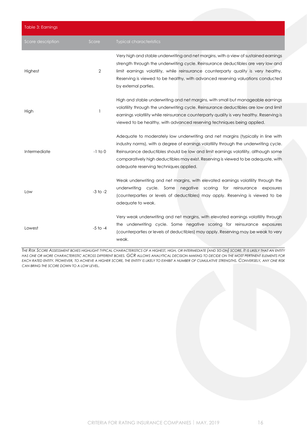| Table 3: Earnings |                |                                                                                                                                                                                                                                                                                                                                                                                                |
|-------------------|----------------|------------------------------------------------------------------------------------------------------------------------------------------------------------------------------------------------------------------------------------------------------------------------------------------------------------------------------------------------------------------------------------------------|
| Score description | Score          | <b>Typical characteristics</b>                                                                                                                                                                                                                                                                                                                                                                 |
| Highest           | $\overline{2}$ | Very high and stable underwriting and net margins, with a view of sustained earnings<br>strength through the underwriting cycle. Reinsurance deductibles are very low and<br>limit earnings volatility, while reinsurance counterparty quality is very healthy.<br>Reserving is viewed to be healthy, with advanced reserving valuations conducted<br>by external parties.                     |
| High              |                | High and stable underwriting and net margins, with small but manageable earnings<br>volatility through the underwriting cycle. Reinsurance deductibles are low and limit<br>earnings volatility while reinsurance counterparty quality is very healthy. Reserving is<br>viewed to be healthy, with advanced reserving techniques being applied.                                                |
| Intermediate      | $-1$ to 0      | Adequate to moderately low underwriting and net margins (typically in line with<br>industry norms), with a degree of earnings volatility through the underwriting cycle.<br>Reinsurance deductibles should be low and limit earnings volatility, although some<br>comparatively high deductibles may exist. Reserving is viewed to be adequate, with<br>adequate reserving techniques applied. |
| Low               | $-3$ to $-2$   | Weak underwriting and net margins, with elevated earnings volatility through the<br>underwriting<br>cycle. Some<br>negative<br>scoring for reinsurance exposures<br>(counterparties or levels of deductibles) may apply. Reserving is viewed to be<br>adequate to weak.                                                                                                                        |
| Lowest            | $-5$ to $-4$   | Very weak underwriting and net margins, with elevated earnings volatility through<br>the underwriting cycle. Some negative scoring for reinsurance exposures<br>(counterparties or levels of deductibles) may apply. Reserving may be weak to very<br>weak.                                                                                                                                    |

THE RISK SCORE ASSESSMENT BOXES HIGHLIGHT TYPICAL CHARACTERISTICS OF A HIGHEST, HIGH, OR INTERMEDIATE (AND SO ON) SCORE. IT IS LIKELY THAT AN ENTITY *HAS ONE OR MORE CHARACTERISTIC ACROSS DIFFERENT BOXES. GCR ALLOWS ANALYTICAL DECISION MAKING TO DECIDE ON THE MOST PERTINENT ELEMENTS FOR*  EACH RATED ENTITY. HOWEVER, TO ACHIEVE A HIGHER SCORE, THE ENTITY IS LIKELY TO EXHIBIT A NUMBER OF CUMULATIVE STRENGTHS. CONVERSELY, ANY ONE RISK *CAN BRING THE SCORE DOWN TO A LOW LEVEL.*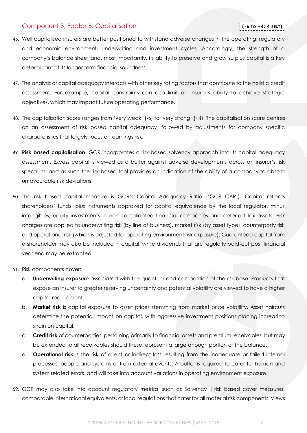### <span id="page-16-0"></span>Component 3, Factor B: Capitalisation

# **(-6 TO +4: 4 BEST )**

- 46. Well capitalised insurers are better positioned to withstand adverse changes in the operating, regulatory and economic environment, underwriting and investment cycles. Accordingly, the strength of a company's balance sheet and, most importantly, its ability to preserve and grow surplus capital is a key determinant of its longer term financial soundness.
- 47. The analysis of capital adequacy interacts with other key rating factors that contribute to the holistic credit assessment. For example, capital constraints can also limit an insurer's ability to achieve strategic objectives, which may impact future operating performance.
- 48. The capitalisation score ranges from 'very weak' (-6) to 'very strong' (+4). The capitalisation score centres on an assessment of risk based capital adequacy, followed by adjustments for company specific characteristics that largely focus on earnings risk.
- 49. **Risk based capitalisation**. GCR incorporates a risk-based solvency approach into its capital adequacy assessment. Excess capital is viewed as a buffer against adverse developments across an insurer's risk spectrum, and as such the risk-based tool provides an indication of the ability of a company to absorb unfavourable risk deviations.
- 50. The risk based capital measure is GCR's Capital Adequacy Ratio ('GCR CAR'). Capital reflects shareholders' funds, plus instruments approved for capital equivalence by the local regulator, minus intangibles, equity investments in non-consolidated financial companies and deferred tax assets. Risk charges are applied to underwriting risk (by line of business), market risk (by asset type), counterparty risk and operational risk (which is adjusted for operating environment risk exposure). Guaranteed capital from a shareholder may also be included in capital, while dividends that are regularly paid-out post financial year end may be extracted.
- 51. Risk components cover:
	- a. **Underwriting exposure** associated with the quantum and composition of the risk base. Products that expose an insurer to greater reserving uncertainty and potential volatility are viewed to have a higher capital requirement.
	- b. **Market risk** is capital exposure to asset prices stemming from market price volatility. Asset haircuts determine the potential impact on capital, with aggressive investment positions placing increasing strain on capital.
	- c. **Credit risk** of counterparties, pertaining primarily to financial assets and premium receivables, but may be extended to all receivables should these represent a large enough portion of the balance.
	- d. **Operational risk** is the risk of direct or indirect loss resulting from the inadequate or failed internal processes, people and systems or from external events. A buffer is required to cater for human and system related errors, and will take into account variations in operating environment exposure.
- 52. GCR may also take into account regulatory metrics, such as Solvency II risk based cover measures, comparable international equivalents, or local regulations that cater for all material risk components. Views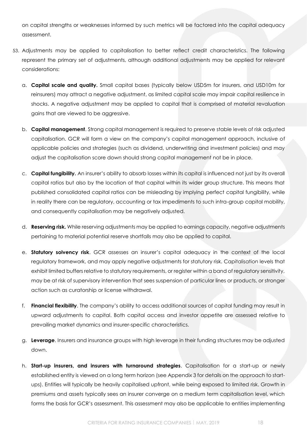on capital strengths or weaknesses informed by such metrics will be factored into the capital adequacy assessment.

- 53. Adjustments may be applied to capitalisation to better reflect credit characteristics. The following represent the primary set of adjustments, although additional adjustments may be applied for relevant considerations:
	- a. **Capital scale and quality.** Small capital bases (typically below USD5m for insurers, and USD10m for reinsurers) may attract a negative adjustment, as limited capital scale may impair capital resilience in shocks. A negative adjustment may be applied to capital that is comprised of material revaluation gains that are viewed to be aggressive.
	- b. **Capital management**. Strong capital management is required to preserve stable levels of risk adjusted capitalisation. GCR will form a view on the company's capital management approach, inclusive of applicable policies and strategies (such as dividend, underwriting and investment policies) and may adjust the capitalisation score down should strong capital management not be in place.
	- c. **Capital fungibility.** An insurer's ability to absorb losses within its capital is influenced not just by its overall capital ratios but also by the location of that capital within its wider group structure. This means that published consolidated capital ratios can be misleading by implying perfect capital fungibility, while in reality there can be regulatory, accounting or tax impediments to such intra-group capital mobility, and consequently capitalisation may be negatively adjusted.
	- d. **Reserving risk.** While reserving adjustments may be applied to earnings capacity, negative adjustments pertaining to material potential reserve shortfalls may also be applied to capital.
	- e. **Statutory solvency risk**. GCR assesses an insurer's capital adequacy in the context of the local regulatory framework, and may apply negative adjustments for statutory risk. Capitalisation levels that exhibit limited buffers relative to statutory requirements, or register within a band of regulatory sensitivity, may be at risk of supervisory intervention that sees suspension of particular lines or products, or stronger action such as curatorship or license withdrawal.
	- f. **Financial flexibility**. The company's ability to access additional sources of capital funding may result in upward adjustments to capital. Both capital access and investor appetite are assessed relative to prevailing market dynamics and insurer-specific characteristics.
	- g. **Leverage**. Insurers and insurance groups with high leverage in their funding structures may be adjusted down.
	- h. **Start-up insurers, and insurers with turnaround strategies**. Capitalisation for a start-up or newly established entity is viewed on a long term horizon (see Appendix 3 for details on the approach to startups). Entities will typically be heavily capitalised upfront, while being exposed to limited risk. Growth in premiums and assets typically sees an insurer converge on a medium term capitalisation level, which forms the basis for GCR's assessment. This assessment may also be applicable to entities implementing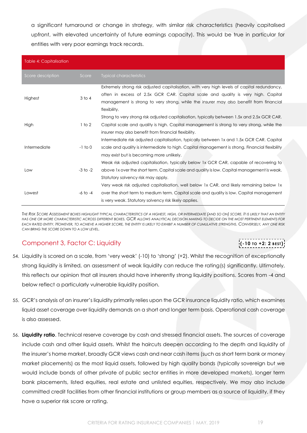a significant turnaround or change in strategy, with similar risk characteristics (heavily capitalised upfront, with elevated uncertainty of future earnings capacity). This would be true in particular for entities with very poor earnings track records.

| <b>Table 4: Capitalisation</b> |              |                                                                                                |
|--------------------------------|--------------|------------------------------------------------------------------------------------------------|
| Score description              | Score        | <b>Typical characteristics</b>                                                                 |
|                                |              | Extremely strong risk adjusted capitalisation, with very high levels of capital redundancy,    |
| Highest                        | $3$ to $4$   | often in excess of 2.5x GCR CAR. Capital scale and quality is very high. Capital               |
|                                |              | management is strong to very strong, while the insurer may also benefit from financial         |
|                                |              | flexibility.                                                                                   |
|                                |              | Strong to very strong risk adjusted capitalisation, typically between 1.5x and 2.5x GCR CAR.   |
| High                           | 1 to 2       | Capital scale and quality is high. Capital management is strong to very strong, while the      |
|                                |              | insurer may also benefit from financial flexibility.                                           |
|                                |              | Intermediate risk adjusted capitalisation, typically between 1x and 1.5x GCR CAR. Capital      |
| Intermediate                   | $-1$ to 0    | scale and quality is intermediate to high. Capital management is strong. Financial flexibility |
|                                |              | may exist but is becoming more unlikely.                                                       |
|                                | $-3$ to $-2$ | Weak risk adjusted capitalisation, typically below 1x GCR CAR, capable of recovering to        |
| Low                            |              | above 1x over the short term. Capital scale and quality is low. Capital management is weak.    |
|                                |              | Statutory solvency risk may apply.                                                             |
|                                |              | Very weak risk adjusted capitalisation, well below 1x CAR, and likely remaining below 1x       |
| Lowest                         | -6 to -4     | over the short term to medium term. Capital scale and quality is low. Capital management       |
|                                |              | is very weak. Statutory solvency risk likely applies.                                          |

THE RISK SCORE ASSESSMENT BOXES HIGHLIGHT TYPICAL CHARACTERISTICS OF A HIGHEST, HIGH, OR INTERMEDIATE (AND SO ON) SCORE. IT IS LIKELY THAT AN ENTITY *HAS ONE OR MORE CHARACTERISTIC ACROSS DIFFERENT BOXES. GCR ALLOWS ANALYTICAL DECISION MAKING TO DECIDE ON THE MOST PERTINENT ELEMENTS FOR*  EACH RATED ENTITY. HOWEVER, TO ACHIEVE A HIGHER SCORE, THE ENTITY IS LIKELY TO EXHIBIT A NUMBER OF CUMULATIVE STRENGTHS. CONVERSELY, ANY ONE RISK *CAN BRING THE SCORE DOWN TO A LOW LEVEL.*

# <span id="page-18-0"></span>Component 3, Factor C: Liquidity

# **(-10 TO +2: 2 BEST )**

- 54. Liquidity is scored on a scale, from 'very weak' (-10) to 'strong' (+2). Whilst the recognition of exceptionally strong liquidity is limited, an assessment of weak liquidity can reduce the rating(s) significantly. Ultimately, this reflects our opinion that all insurers should have inherently strong liquidity positions. Scores from -4 and below reflect a particularly vulnerable liquidity position.
- 55. GCR's analysis of an insurer's liquidity primarily relies upon the GCR insurance liquidity ratio, which examines liquid asset coverage over liquidity demands on a short and longer term basis. Operational cash coverage is also assessed.
- 56. **Liquidity ratio**. Technical reserve coverage by cash and stressed financial assets. The sources of coverage include cash and other liquid assets. Whilst the haircuts deepen according to the depth and liquidity of the insurer's home market, broadly GCR views cash and near cash items (such as short term bank or money market placements) as the most liquid assets, followed by high quality bonds (typically sovereign but we would include bonds of other private of public sector entities in more developed markets), longer term bank placements, listed equities, real estate and unlisted equities, respectively. We may also include committed credit facilities from other financial institutions or group members as a source of liquidity, if they have a superior risk score or rating.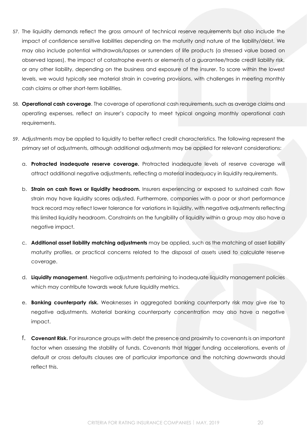- 57. The liquidity demands reflect the gross amount of technical reserve requirements but also include the impact of confidence sensitive liabilities depending on the maturity and nature of the liability/debt. We may also include potential withdrawals/lapses or surrenders of life products (a stressed value based on observed lapses), the impact of catastrophe events or elements of a guarantee/trade credit liability risk, or any other liability, depending on the business and exposure of the insurer. To score within the lowest levels, we would typically see material strain in covering provisions, with challenges in meeting monthly cash claims or other short-term liabilities.
- 58. **Operational cash coverage**. The coverage of operational cash requirements, such as average claims and operating expenses, reflect an insurer's capacity to meet typical ongoing monthly operational cash requirements.
- 59. Adjustments may be applied to liquidity to better reflect credit characteristics. The following represent the primary set of adjustments, although additional adjustments may be applied for relevant considerations:
	- a. **Protracted inadequate reserve coverage.** Protracted inadequate levels of reserve coverage will attract additional negative adjustments, reflecting a material inadequacy in liquidity requirements.
	- b. **Strain on cash flows or liquidity headroom.** Insurers experiencing or exposed to sustained cash flow strain may have liquidity scores adjusted. Furthermore, companies with a poor or short performance track record may reflect lower tolerance for variations in liquidity, with negative adjustments reflecting this limited liquidity headroom. Constraints on the fungibility of liquidity within a group may also have a negative impact.
	- c. **Additional asset liability matching adjustments** may be applied, such as the matching of asset liability maturity profiles, or practical concerns related to the disposal of assets used to calculate reserve coverage.
	- d. **Liquidity management**. Negative adjustments pertaining to inadequate liquidity management policies which may contribute towards weak future liquidity metrics.
	- e. **Banking counterparty risk.** Weaknesses in aggregated banking counterparty risk may give rise to negative adjustments. Material banking counterparty concentration may also have a negative impact.
	- f. **Covenant Risk.** For insurance groups with debt the presence and proximity to covenants is an important factor when assessing the stability of funds. Covenants that trigger funding accelerations, events of default or cross defaults clauses are of particular importance and the notching downwards should reflect this.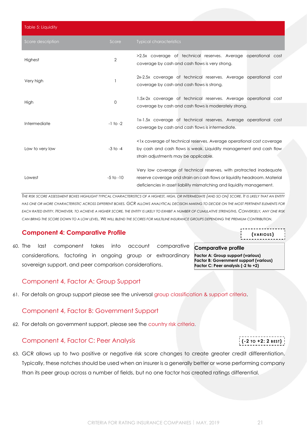| Table 5: Liquidity |                |                                                                                                                                                                                                                           |
|--------------------|----------------|---------------------------------------------------------------------------------------------------------------------------------------------------------------------------------------------------------------------------|
| Score description  | Score          | <b>Typical characteristics</b>                                                                                                                                                                                            |
| Highest            | $\overline{2}$ | >2.5x coverage of technical reserves. Average operational cost<br>coverage by cash and cash flows is very strong.                                                                                                         |
| Very high          |                | 2x-2.5x coverage of technical reserves. Average operational cost<br>coverage by cash and cash flows is strong.                                                                                                            |
| High               | $\mathbf 0$    | 1.5x-2x coverage of technical reserves. Average operational cost<br>coverage by cash and cash flows is moderately strong.                                                                                                 |
| Intermediate       | $-1$ to $-2$   | 1x-1.5x coverage of technical reserves. Average operational cost<br>coverage by cash and cash flows is intermediate.                                                                                                      |
| Low to very low    | $-3$ to $-4$   | <1x coverage of technical reserves. Average operational cost coverage<br>by cash and cash flows is weak. Liquidity management and cash flow<br>strain adjustments may be applicable.                                      |
| Lowest             | $-5$ to $-10$  | Very low coverage of technical reserves, with protracted inadequate<br>reserve coverage and strain on cash flows or liquidity headroom. Material<br>deficiencies in asset liability mismatching and liquidity management. |

THE RISK SCORE ASSESSMENT BOXES HIGHLIGHT TYPICAL CHARACTERISTICS OF A HIGHEST, HIGH, OR INTERMEDIATE (AND SO ON) SCORE. IT IS LIKELY THAT AN ENTITY *HAS ONE OR MORE CHARACTERISTIC ACROSS DIFFERENT BOXES. GCR ALLOWS ANALYTICAL DECISION MAKING TO DECIDE ON THE MOST PERTINENT ELEMENTS FOR*  EACH RATED ENTITY. HOWEVER, TO ACHIEVE A HIGHER SCORE, THE ENTITY IS LIKELY TO EXHIBIT A NUMBER OF CUMULATIVE STRENGTHS. CONVERSELY, ANY ONE RISK *CAN BRING THE SCORE DOWN TO A LOW LEVEL. WE WILL BLEND THE SCORES FOR MULTILINE INSURANCE GROUPS DEPENDING THE PREMIUM CONTRIBUTION.*

### <span id="page-20-0"></span>**Component 4: Comparative Profile**

60. The last component takes into account comparative considerations, factoring in ongoing group or extraordinary sovereign support, and peer comparison considerations.

### <span id="page-20-1"></span>Component 4, Factor A: Group Support

61. For details on group support please see the universal [group classification & support criteria.](http://gcrratings.com/criteria)

### <span id="page-20-2"></span>Component 4, Factor B: Government Support

62. For details on government support, please see the [country risk criteria.](http://gcrratings.com/criteria)

### <span id="page-20-3"></span>Component 4, Factor C: Peer Analysis

63. GCR allows up to two positive or negative risk score changes to create greater credit differentiation. Typically, these notches should be used when an insurer is a generally better or worse performing company than its peer group across a number of fields, but no one factor has created ratings differential.

# **(VARIOUS)**

#### **Comparative profile**

**Factor A: Group support (various) Factor B: Government support (various) Factor C: Peer analysis (-2 to +2)**

**(-2 TO +2: 2 BEST )**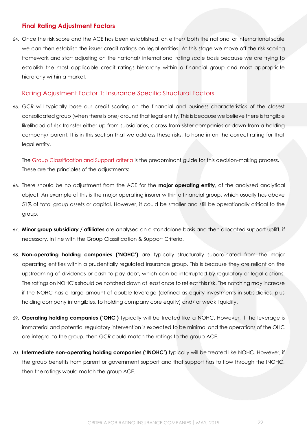### <span id="page-21-0"></span>**Final Rating Adjustment Factors**

64. Once the risk score and the ACE has been established, on either/ both the national or international scale we can then establish the issuer credit ratings on legal entities. At this stage we move off the risk scoring framework and start adjusting on the national/ international rating scale basis because we are trying to establish the most applicable credit ratings hierarchy within a financial group and most appropriate hierarchy within a market.

### <span id="page-21-1"></span>Rating Adjustment Factor 1: Insurance Specific Structural Factors

65. GCR will typically base our credit scoring on the financial and business characteristics of the closest consolidated group (when there is one) around that legal entity. This is because we believe there is tangible likelihood of risk transfer either up from subsidiaries, across from sister companies or down from a holding company/ parent. It is in this section that we address these risks, to hone in on the correct rating for that legal entity.

The [Group Classification and Support criteria](http://gcrratings.com/criteria) is the predominant guide for this decision-making process. These are the principles of the adjustments:

- 66. There should be no adjustment from the ACE for the **major operating entity**, of the analysed analytical object. An example of this is the major operating insurer within a financial group, which usually has above 51% of total group assets or capital. However, it could be smaller and still be operationally critical to the group.
- 67. **Minor group subsidiary / affiliates** are analysed on a standalone basis and then allocated support uplift, if necessary, in line with the Group Classification & Support Criteria.
- 68. **Non-operating holding companies ('NOHC')** are typically structurally subordinated from the major operating entities within a prudentially regulated insurance group. This is because they are reliant on the upstreaming of dividends or cash to pay debt, which can be interrupted by regulatory or legal actions. The ratings on NOHC's should be notched down at least once to reflect this risk. The notching may increase if the NOHC has a large amount of double leverage (defined as equity investments in subsidiaries, plus holding company intangibles, to holding company core equity) and/ or weak liquidity.
- 69. **Operating holding companies ('OHC')** typically will be treated like a NOHC. However, if the leverage is immaterial and potential regulatory intervention is expected to be minimal and the operations of the OHC are integral to the group, then GCR could match the ratings to the group ACE.
- 70. **Intermediate non-operating holding companies ('INOHC')** typically will be treated like NOHC. However, if the group benefits from parent or government support and that support has to flow through the INOHC, then the ratings would match the group ACE.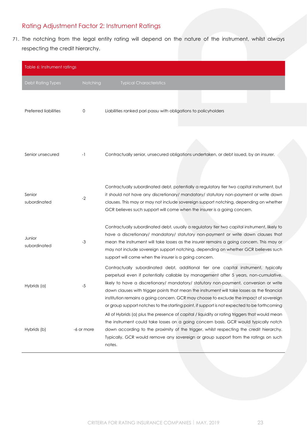# <span id="page-22-0"></span>Rating Adjustment Factor 2: Instrument Ratings

71. The notching from the legal entity rating will depend on the nature of the instrument, whilst always respecting the credit hierarchy.

| Table 6: Instrument ratings |            |                                                                                                                                                                                                                                                                                                                                                                                                                                                                                                                                                             |
|-----------------------------|------------|-------------------------------------------------------------------------------------------------------------------------------------------------------------------------------------------------------------------------------------------------------------------------------------------------------------------------------------------------------------------------------------------------------------------------------------------------------------------------------------------------------------------------------------------------------------|
| Debt Rating Types           | Notching   | <b>Typical Characteristics</b>                                                                                                                                                                                                                                                                                                                                                                                                                                                                                                                              |
| Preferred liabilities       | 0          | Liabilities ranked pari passu with obligations to policyholders                                                                                                                                                                                                                                                                                                                                                                                                                                                                                             |
| Senior unsecured            | $-1$       | Contractually senior, unsecured obligations undertaken, or debt issued, by an insurer.                                                                                                                                                                                                                                                                                                                                                                                                                                                                      |
| Senior<br>subordinated      | $-2$       | Contractually subordinated debt, potentially a regulatory tier two capital instrument, but<br>it should not have any discretionary/ mandatory/ statutory non-payment or write down<br>clauses. This may or may not include sovereign support notching, depending on whether<br>GCR believes such support will come when the insurer is a going concern.                                                                                                                                                                                                     |
| Junior<br>subordinated      | $-3$       | Contractually subordinated debt, usually a regulatory tier two capital instrument, likely to<br>have a discretionary/ mandatory/ statutory non-payment or write down clauses that<br>mean the instrument will take losses as the insurer remains a going concern. This may or<br>may not include sovereign support notching, depending on whether GCR believes such<br>support will come when the insurer is a going concern.                                                                                                                               |
| Hybrids (a)                 | -5         | Contractually subordinated debt, additional tier one capital instrument, typically<br>perpetual even if potentially callable by management after 5 years, non-cumulative,<br>likely to have a discretionary/ mandatory/ statutory non-payment, conversion or write<br>down clauses with trigger points that mean the instrument will take losses as the financial<br>institution remains a going concern. GCR may choose to exclude the impact of sovereign<br>or group support notches to the starting point, if support is not expected to be forthcoming |
| Hybrids (b)                 | -6 or more | All of Hybrids (a) plus the presence of capital / liquidity or rating triggers that would mean<br>the instrument could take losses on a going concern basis. GCR would typically notch<br>down according to the proximity of the trigger, whilst respecting the credit hierarchy.<br>Typically, GCR would remove any sovereign or group support from the ratings on such<br>notes.                                                                                                                                                                          |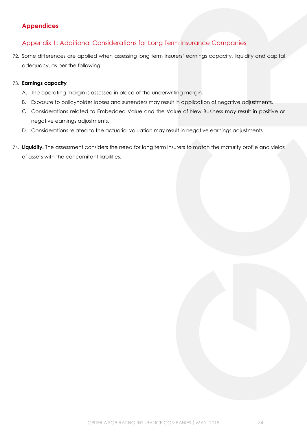# <span id="page-23-0"></span>**Appendices**

# <span id="page-23-1"></span>Appendix 1: Additional Considerations for Long Term Insurance Companies

72. Some differences are applied when assessing long term insurers' earnings capacity, liquidity and capital adequacy, as per the following:

### 73. **Earnings capacity**

- A. The operating margin is assessed in place of the underwriting margin.
- B. Exposure to policyholder lapses and surrenders may result in application of negative adjustments.
- C. Considerations related to Embedded Value and the Value of New Business may result in positive or negative earnings adjustments.
- D. Considerations related to the actuarial valuation may result in negative earnings adjustments.
- 74. **Liquidity.** The assessment considers the need for long term insurers to match the maturity profile and yields of assets with the concomitant liabilities.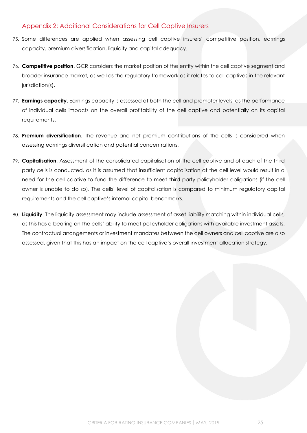### <span id="page-24-0"></span>Appendix 2: Additional Considerations for Cell Captive Insurers

- 75. Some differences are applied when assessing cell captive insurers' competitive position, earnings capacity, premium diversification, liquidity and capital adequacy.
- 76. **Competitive position**. GCR considers the market position of the entity within the cell captive segment and broader insurance market, as well as the regulatory framework as it relates to cell captives in the relevant jurisdiction(s).
- 77. **Earnings capacity**. Earnings capacity is assessed at both the cell and promoter levels, as the performance of individual cells impacts on the overall profitability of the cell captive and potentially on its capital requirements.
- 78. **Premium diversification**. The revenue and net premium contributions of the cells is considered when assessing earnings diversification and potential concentrations.
- 79. **Capitalisation**. Assessment of the consolidated capitalisation of the cell captive and of each of the third party cells is conducted, as it is assumed that insufficient capitalisation at the cell level would result in a need for the cell captive to fund the difference to meet third party policyholder obligations (if the cell owner is unable to do so). The cells' level of capitalisation is compared to minimum regulatory capital requirements and the cell captive's internal capital benchmarks.
- 80. **Liquidity**. The liquidity assessment may include assessment of asset liability matching within individual cells, as this has a bearing on the cells' ability to meet policyholder obligations with available investment assets. The contractual arrangements or investment mandates between the cell owners and cell captive are also assessed, given that this has an impact on the cell captive's overall investment allocation strategy.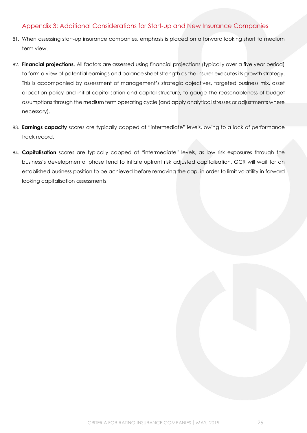### <span id="page-25-0"></span>Appendix 3: Additional Considerations for Start-up and New Insurance Companies

- 81. When assessing start-up insurance companies, emphasis is placed on a forward looking short to medium term view.
- 82. **Financial projections**. All factors are assessed using financial projections (typically over a five year period) to form a view of potential earnings and balance sheet strength as the insurer executes its growth strategy. This is accompanied by assessment of management's strategic objectives, targeted business mix, asset allocation policy and initial capitalisation and capital structure, to gauge the reasonableness of budget assumptions through the medium term operating cycle (and apply analytical stresses or adjustments where necessary).
- 83. **Earnings capacity** scores are typically capped at "intermediate" levels, owing to a lack of performance track record.
- 84. **Capitalisation** scores are typically capped at "intermediate" levels, as low risk exposures through the business's developmental phase tend to inflate upfront risk adjusted capitalisation. GCR will wait for an established business position to be achieved before removing the cap, in order to limit volatility in forward looking capitalisation assessments.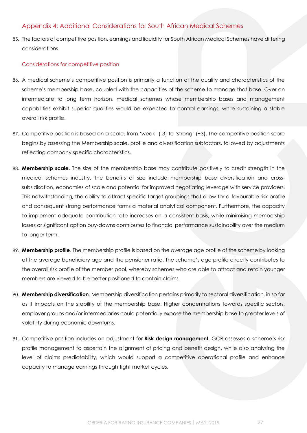### <span id="page-26-0"></span>Appendix 4: Additional Considerations for South African Medical Schemes

85. The factors of competitive position, earnings and liquidity for South African Medical Schemes have differing considerations.

### Considerations for competitive position

- 86. A medical scheme's competitive position is primarily a function of the quality and characteristics of the scheme's membership base, coupled with the capacities of the scheme to manage that base. Over an intermediate to long term horizon, medical schemes whose membership bases and management capabilities exhibit superior qualities would be expected to control earnings, while sustaining a stable overall risk profile.
- 87. Competitive position is based on a scale, from 'weak' (-3) to 'strong' (+3). The competitive position score begins by assessing the Membership scale, profile and diversification subfactors, followed by adjustments reflecting company specific characteristics.
- 88. **Membership scale**. The size of the membership base may contribute positively to credit strength in the medical schemes industry. The benefits of size include membership base diversification and crosssubsidisation, economies of scale and potential for improved negotiating leverage with service providers. This notwithstanding, the ability to attract specific target groupings that allow for a favourable risk profile and consequent strong performance forms a material analytical component. Furthermore, the capacity to implement adequate contribution rate increases on a consistent basis, while minimising membership losses or significant option buy-downs contributes to financial performance sustainability over the medium to longer term.
- 89. **Membership profile**. The membership profile is based on the average age profile of the scheme by looking at the average beneficiary age and the pensioner ratio. The scheme's age profile directly contributes to the overall risk profile of the member pool, whereby schemes who are able to attract and retain younger members are viewed to be better positioned to contain claims.
- 90. **Membership diversification**. Membership diversification pertains primarily to sectoral diversification, in so far as it impacts on the stability of the membership base. Higher concentrations towards specific sectors, employer groups and/or intermediaries could potentially expose the membership base to greater levels of volatility during economic downturns.
- 91. Competitive position includes an adjustment for **Risk design management**. GCR assesses a scheme's risk profile management to ascertain the alignment of pricing and benefit design, while also analysing the level of claims predictability, which would support a competitive operational profile and enhance capacity to manage earnings through tight market cycles.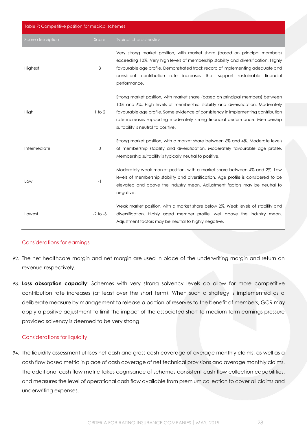| Table 7: Competitive position for medical schemes |              |                                                                                                                                                                                                                                                                                                                                                                                |
|---------------------------------------------------|--------------|--------------------------------------------------------------------------------------------------------------------------------------------------------------------------------------------------------------------------------------------------------------------------------------------------------------------------------------------------------------------------------|
| Score description                                 | Score        | <b>Typical characteristics</b>                                                                                                                                                                                                                                                                                                                                                 |
| Highest                                           | 3            | Very strong market position, with market share (based on principal members)<br>exceeding 10%. Very high levels of membership stability and diversification. Highly<br>favourable age profile. Demonstrated track record of implementing adequate and<br>consistent contribution rate increases that support sustainable financial<br>performance.                              |
| High                                              | 1 to 2       | Strong market position, with market share (based on principal members) between<br>10% and 6%. High levels of membership stability and diversification. Moderately<br>favourable age profile. Some evidence of consistency in implementing contribution<br>rate increases supporting moderately strong financial performance. Membership<br>suitability is neutral to positive. |
| Intermediate                                      | $\mathbf{O}$ | Strong market position, with a market share between 6% and 4%. Moderate levels<br>of membership stability and diversification. Moderately favourable age profile.<br>Membership suitability is typically neutral to positive.                                                                                                                                                  |
| Low                                               | $-1$         | Moderately weak market position, with a market share between 4% and 2%. Low<br>levels of membership stability and diversification. Age profile is considered to be<br>elevated and above the industry mean. Adjustment factors may be neutral to<br>negative.                                                                                                                  |
| Lowest                                            | $-2$ to $-3$ | Weak market position, with a market share below 2%. Weak levels of stability and<br>diversification. Highly aged member profile, well above the industry mean.<br>Adjustment factors may be neutral to highly negative.                                                                                                                                                        |

### Considerations for earnings

- 92. The net healthcare margin and net margin are used in place of the underwriting margin and return on revenue respectively.
- 93. **Loss absorption capacity**: Schemes with very strong solvency levels do allow for more competitive contribution rate increases (at least over the short term). When such a strategy is implemented as a deliberate measure by management to release a portion of reserves to the benefit of members, GCR may apply a positive adjustment to limit the impact of the associated short to medium term earnings pressure provided solvency is deemed to be very strong.

### Considerations for liquidity

94. The liquidity assessment utilises net cash and gross cash coverage of average monthly claims, as well as a cash flow based metric in place of cash coverage of net technical provisions and average monthly claims. The additional cash flow metric takes cognisance of schemes consistent cash flow collection capabilities, and measures the level of operational cash flow available from premium collection to cover all claims and underwriting expenses.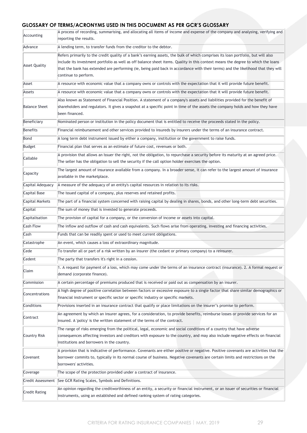### **GLOSSARY OF TERMS/ACRONYMS USED IN THIS DOCUMENT AS PER GCR'S GLOSSARY**

| Accounting           | A process of recording, summarising, and allocating all items of income and expense of the company and analysing, verifying and<br>reporting the results. |
|----------------------|-----------------------------------------------------------------------------------------------------------------------------------------------------------|
| Advance              | A lending term, to transfer funds from the creditor to the debtor.                                                                                        |
|                      | Refers primarily to the credit quality of a bank's earning assets, the bulk of which comprises its loan portfolio, but will also                          |
|                      | include its investment portfolio as well as off balance sheet items. Quality in this context means the degree to which the loans                          |
| <b>Asset Quality</b> | that the bank has extended are performing (ie, being paid back in accordance with their terms) and the likelihood that they will                          |
|                      | continue to perform.                                                                                                                                      |
| Asset                | A resource with economic value that a company owns or controls with the expectation that it will provide future benefit.                                  |
| Assets               | A resource with economic value that a company owns or controls with the expectation that it will provide future benefit.                                  |
|                      | Also known as Statement of Financial Position. A statement of a company's assets and liabilities provided for the benefit of                              |
| <b>Balance Sheet</b> | shareholders and regulators. It gives a snapshot at a specific point in time of the assets the company holds and how they have                            |
|                      | been financed.                                                                                                                                            |
| Beneficiary          | Nominated person or institution in the policy document that is entitled to receive the proceeds stated in the policy.                                     |
| Benefits             | Financial reimbursement and other services provided to insureds by insurers under the terms of an insurance contract.                                     |
| Bond                 | A long term debt instrument issued by either a company, institution or the government to raise funds.                                                     |
| Budget               | Financial plan that serves as an estimate of future cost, revenues or both.                                                                               |
|                      | A provision that allows an Issuer the right, not the obligation, to repurchase a security before its maturity at an agreed price.                         |
| Callable             | The seller has the obligation to sell the security if the call option holder exercises the option.                                                        |
|                      | The largest amount of insurance available from a company. In a broader sense, it can refer to the largest amount of insurance                             |
| Capacity             | available in the marketplace.                                                                                                                             |
| Capital Adequacy     | A measure of the adequacy of an entity's capital resources in relation to its risks.                                                                      |
| Capital Base         | The issued capital of a company, plus reserves and retained profits.                                                                                      |
| Capital Markets      | The part of a financial system concerned with raising capital by dealing in shares, bonds, and other long-term debt securities.                           |
| Capital              | The sum of money that is invested to generate proceeds.                                                                                                   |
| Capitalisation       | The provision of capital for a company, or the conversion of income or assets into capital.                                                               |
| <b>Cash Flow</b>     | The inflow and outflow of cash and cash equivalents. Such flows arise from operating, investing and financing activities.                                 |
| Cash                 | Funds that can be readily spent or used to meet current obligations.                                                                                      |
| Catastrophe          | An event, which causes a loss of extraordinary magnitude.                                                                                                 |
| Cede                 | To transfer all or part of a risk written by an insurer (the cedant or primary company) to a reinsurer.                                                   |
| Cedent               | The party that transfers it's right in a cession.                                                                                                         |
| Claim                | 1. A request for payment of a loss, which may come under the terms of an insurance contract (insurance). 2. A formal request or                           |
|                      | demand (corporate finance).                                                                                                                               |
| Commission           | A certain percentage of premiums produced that is received or paid out as compensation by an insurer.                                                     |
| Concentrations       | A high degree of positive correlation between factors or excessive exposure to a single factor that share similar demographics or                         |
|                      | financial instrument or specific sector or specific industry or specific markets.                                                                         |
| Conditions           | Provisions inserted in an insurance contract that qualify or place limitations on the insurer's promise to perform.                                       |
| Contract             | An agreement by which an insurer agrees, for a consideration, to provide benefits, reimburse losses or provide services for an                            |
|                      | insured. A 'policy' is the written statement of the terms of the contract.                                                                                |
|                      | The range of risks emerging from the political, legal, economic and social conditions of a country that have adverse                                      |
| Country Risk         | consequences affecting investors and creditors with exposure to the country, and may also include negative effects on financial                           |
|                      | institutions and borrowers in the country.                                                                                                                |
|                      | A provision that is indicative of performance. Covenants are either positive or negative. Positive covenants are activities that the                      |
| Covenant             | borrower commits to, typically in its normal course of business. Negative covenants are certain limits and restrictions on the<br>borrowers' activities.  |
| Coverage             | The scope of the protection provided under a contract of insurance.                                                                                       |
|                      |                                                                                                                                                           |
| Credit Assessment    | See GCR Rating Scales, Symbols and Definitions.                                                                                                           |
| Credit Rating        | An opinion regarding the creditworthiness of an entity, a security or financial instrument, or an issuer of securities or financial                       |
|                      | instruments, using an established and defined ranking system of rating categories.                                                                        |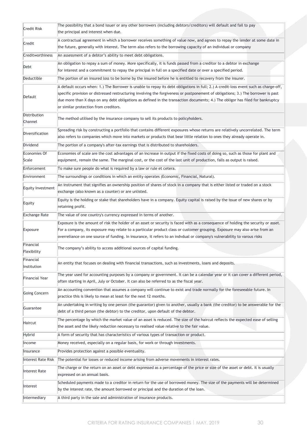| Credit Risk              | The possibility that a bond issuer or any other borrowers (including debtors/creditors) will default and fail to pay<br>the principal and interest when due.                                                                                                                                                                                                                                                                                         |
|--------------------------|------------------------------------------------------------------------------------------------------------------------------------------------------------------------------------------------------------------------------------------------------------------------------------------------------------------------------------------------------------------------------------------------------------------------------------------------------|
| Credit                   | A contractual agreement in which a borrower receives something of value now, and agrees to repay the lender at some date in<br>the future, generally with interest. The term also refers to the borrowing capacity of an individual or company                                                                                                                                                                                                       |
| Creditworthiness         | An assessment of a debtor's ability to meet debt obligations.                                                                                                                                                                                                                                                                                                                                                                                        |
| Debt                     | An obligation to repay a sum of money. More specifically, it is funds passed from a creditor to a debtor in exchange<br>for interest and a commitment to repay the principal in full on a specified date or over a specified period.                                                                                                                                                                                                                 |
| Deductible               | The portion of an insured loss to be borne by the insured before he is entitled to recovery from the insurer.                                                                                                                                                                                                                                                                                                                                        |
| Default                  | A default occurs when: 1.) The Borrower is unable to repay its debt obligations in full; 2.) A credit-loss event such as charge-off,<br>specific provision or distressed restructuring involving the forgiveness or postponement of obligations; 3.) The borrower is past<br>due more than X days on any debt obligations as defined in the transaction documents; 4.) The obligor has filed for bankruptcy<br>or similar protection from creditors. |
| Distribution<br>Channel  | The method utilised by the insurance company to sell its products to policyholders.                                                                                                                                                                                                                                                                                                                                                                  |
| Diversification          | Spreading risk by constructing a portfolio that contains different exposures whose returns are relatively uncorrelated. The term<br>also refers to companies which move into markets or products that bear little relation to ones they already operate in.                                                                                                                                                                                          |
| Dividend                 | The portion of a company's after-tax earnings that is distributed to shareholders.                                                                                                                                                                                                                                                                                                                                                                   |
| Economies Of             | Economies of scale are the cost advantages of an increase in output if the fixed costs of doing so, such as those for plant and                                                                                                                                                                                                                                                                                                                      |
| Scale                    | equipment, remain the same. The marginal cost, or the cost of the last unit of production, falls as output is raised.                                                                                                                                                                                                                                                                                                                                |
| Enforcement              | To make sure people do what is required by a law or rule et cetera.                                                                                                                                                                                                                                                                                                                                                                                  |
| Environment              | The surroundings or conditions in which an entity operates (Economic, Financial, Natural).                                                                                                                                                                                                                                                                                                                                                           |
| Equity Investment        | An instrument that signifies an ownership position of shares of stock in a company that is either listed or traded on a stock<br>exchange (also known as a counter) or are unlisted.                                                                                                                                                                                                                                                                 |
| Equity                   | Equity is the holding or stake that shareholders have in a company. Equity capital is raised by the issue of new shares or by<br>retaining profit.                                                                                                                                                                                                                                                                                                   |
| <b>Exchange Rate</b>     | The value of one country's currency expressed in terms of another.                                                                                                                                                                                                                                                                                                                                                                                   |
| Exposure                 | Exposure is the amount of risk the holder of an asset or security is faced with as a consequence of holding the security or asset.<br>For a company, its exposure may relate to a particular product class or customer grouping. Exposure may also arise from an<br>overreliance on one source of funding. In insurance, it refers to an indvdual or company's vulnerability to varous risks                                                         |
| Financial<br>Flexibility | The company's ability to access additional sources of capital funding.                                                                                                                                                                                                                                                                                                                                                                               |
| Financial<br>Institution | An entity that focuses on dealing with financial transactions, such as investments, loans and deposits.                                                                                                                                                                                                                                                                                                                                              |
| <b>Financial Year</b>    | The year used for accounting purposes by a company or government. It can be a calendar year or it can cover a different period,<br>often starting in April, July or October. It can also be referred to as the fiscal year.                                                                                                                                                                                                                          |
| Going Concern            | An accounting convention that assumes a company will continue to exist and trade normally for the foreseeable future. In<br>practice this is likely to mean at least for the next 12 months.                                                                                                                                                                                                                                                         |
| Guarantee                | An undertaking in writing by one person (the guarantor) given to another, usually a bank (the creditor) to be answerable for the<br>debt of a third person (the debtor) to the creditor, upon default of the debtor.                                                                                                                                                                                                                                 |
| Haircut                  | The percentage by which the market value of an asset is reduced. The size of the haircut reflects the expected ease of selling<br>the asset and the likely reduction necessary to realised value relative to the fair value.                                                                                                                                                                                                                         |
| Hybrid                   | A form of security that has characteristics of various types of transaction or product.                                                                                                                                                                                                                                                                                                                                                              |
| Income                   | Money received, especially on a regular basis, for work or through investments.                                                                                                                                                                                                                                                                                                                                                                      |
| Insurance                | Provides protection against a possible eventuality.                                                                                                                                                                                                                                                                                                                                                                                                  |
| Interest Rate Risk       | The potential for losses or reduced income arising from adverse movements in interest rates.                                                                                                                                                                                                                                                                                                                                                         |
| Interest Rate            | The charge or the return on an asset or debt expressed as a percentage of the price or size of the asset or debt. It is usually<br>expressed on an annual basis.                                                                                                                                                                                                                                                                                     |
| Interest                 | Scheduled payments made to a creditor in return for the use of borrowed money. The size of the payments will be determined<br>by the interest rate, the amount borrowed or principal and the duration of the loan.                                                                                                                                                                                                                                   |
| Intermediary             | A third party in the sale and administration of insurance products.                                                                                                                                                                                                                                                                                                                                                                                  |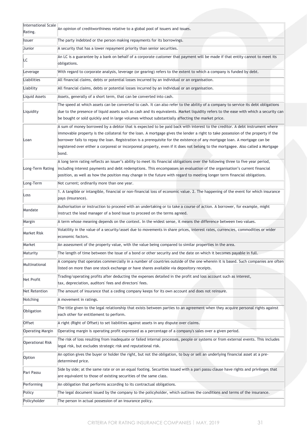| International Scale<br>Rating. | An opinion of creditworthiness relative to a global pool of issuers and issues.                                                                                                                                                                                                                                                                                                                                                                                                                                                           |
|--------------------------------|-------------------------------------------------------------------------------------------------------------------------------------------------------------------------------------------------------------------------------------------------------------------------------------------------------------------------------------------------------------------------------------------------------------------------------------------------------------------------------------------------------------------------------------------|
| Issuer                         | The party indebted or the person making repayments for its borrowings.                                                                                                                                                                                                                                                                                                                                                                                                                                                                    |
| Junior                         | A security that has a lower repayment priority than senior securities.                                                                                                                                                                                                                                                                                                                                                                                                                                                                    |
| LC                             | An LC is a guarantee by a bank on behalf of a corporate customer that payment will be made if that entity cannot to meet its<br>obligations.                                                                                                                                                                                                                                                                                                                                                                                              |
| Leverage                       | With regard to corporate analysis, leverage (or gearing) refers to the extent to which a company is funded by debt.                                                                                                                                                                                                                                                                                                                                                                                                                       |
| Liabilities                    | All financial claims, debts or potential losses incurred by an individual or an organisation.                                                                                                                                                                                                                                                                                                                                                                                                                                             |
| Liability                      | All financial claims, debts or potential losses incurred by an individual or an organisation.                                                                                                                                                                                                                                                                                                                                                                                                                                             |
| Liquid Assets                  | Assets, generally of a short term, that can be converted into cash.                                                                                                                                                                                                                                                                                                                                                                                                                                                                       |
| Liquidity                      | The speed at which assets can be converted to cash. It can also refer to the ability of a company to service its debt obligations<br>due to the presence of liquid assets such as cash and its equivalents. Market liquidity refers to the ease with which a security can<br>be bought or sold quickly and in large volumes without substantially affecting the market price.                                                                                                                                                             |
| Loan                           | A sum of money borrowed by a debtor that is expected to be paid back with interest to the creditor. A debt instrument where<br>immovable property is the collateral for the loan. A mortgage gives the lender a right to take possession of the property if the<br>borrower fails to repay the loan. Registration is a prerequisite for the existence of any mortgage loan. A mortgage can be<br>registered over either a corporeal or incorporeal property, even if it does not belong to the mortgagee. Also called a Mortgage<br>bond. |
| Long-Term Rating               | A long term rating reflects an issuer's ability to meet its financial obligations over the following three to five year period,<br>including interest payments and debt redemptions. This encompasses an evaluation of the organisation's current financial<br>position, as well as how the position may change in the future with regard to meeting longer term financial obligations.                                                                                                                                                   |
| Long-Term                      | Not current; ordinarily more than one year.                                                                                                                                                                                                                                                                                                                                                                                                                                                                                               |
| Loss                           | 1. A tangible or intangible, financial or non-financial loss of economic value. 2. The happening of the event for which insurance<br>pays (insurance).                                                                                                                                                                                                                                                                                                                                                                                    |
| Mandate                        | Authorisation or instruction to proceed with an undertaking or to take a course of action. A borrower, for example, might<br>instruct the lead manager of a bond issue to proceed on the terms agreed.                                                                                                                                                                                                                                                                                                                                    |
| Margin                         | A term whose meaning depends on the context. In the widest sense, it means the difference between two values.                                                                                                                                                                                                                                                                                                                                                                                                                             |
| <b>Market Risk</b>             | Volatility in the value of a security/asset due to movements in share prices, interest rates, currencies, commodities or wider<br>economic factors.                                                                                                                                                                                                                                                                                                                                                                                       |
| Market                         | An assessment of the property value, with the value being compared to similar properties in the area.                                                                                                                                                                                                                                                                                                                                                                                                                                     |
| Maturity                       | The length of time between the issue of a bond or other security and the date on which it becomes payable in full.                                                                                                                                                                                                                                                                                                                                                                                                                        |
| Multinational                  | A company that operates commercially in a number of countries outside of the one wherein it is based. Such companies are often<br>listed on more than one stock exchange or have shares available via depository receipts.                                                                                                                                                                                                                                                                                                                |
| Net Profit                     | Trading/operating profits after deducting the expenses detailed in the profit and loss account such as interest,<br>tax, depreciation, auditors' fees and directors' fees.                                                                                                                                                                                                                                                                                                                                                                |
| Net Retention                  | The amount of insurance that a ceding company keeps for its own account and does not reinsure.                                                                                                                                                                                                                                                                                                                                                                                                                                            |
| Notching                       | A movement in ratings.                                                                                                                                                                                                                                                                                                                                                                                                                                                                                                                    |
| Obligation                     | The title given to the legal relationship that exists between parties to an agreement when they acquire personal rights against<br>each other for entitlement to perform.                                                                                                                                                                                                                                                                                                                                                                 |
| Offset                         | A right (Right of Offset) to set liabilities against assets in any dispute over claims.                                                                                                                                                                                                                                                                                                                                                                                                                                                   |
| <b>Operating Margin</b>        | Operating margin is operating profit expressed as a percentage of a company's sales over a given period.                                                                                                                                                                                                                                                                                                                                                                                                                                  |
| <b>Operational Risk</b>        | The risk of loss resulting from inadequate or failed internal processes, people or systems or from external events. This includes<br>legal risk, but excludes strategic risk and reputational risk.                                                                                                                                                                                                                                                                                                                                       |
| Option                         | An option gives the buyer or holder the right, but not the obligation, to buy or sell an underlying financial asset at a pre-<br>determined price.                                                                                                                                                                                                                                                                                                                                                                                        |
| Pari Passu                     | Side by side; at the same rate or on an equal footing. Securities issued with a pari passu clause have rights and privileges that<br>are equivalent to those of existing securities of the same class.                                                                                                                                                                                                                                                                                                                                    |
| Performing                     | An obligation that performs according to its contractual obligations.                                                                                                                                                                                                                                                                                                                                                                                                                                                                     |
| Policy                         | The legal document issued by the company to the policyholder, which outlines the conditions and terms of the insurance.                                                                                                                                                                                                                                                                                                                                                                                                                   |
| Policyholder                   | The person in actual possession of an insurance policy.                                                                                                                                                                                                                                                                                                                                                                                                                                                                                   |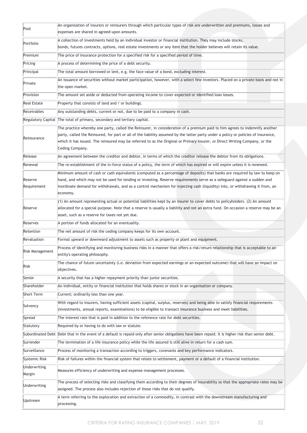| Pool                   | An organisation of insurers or reinsurers through which particular types of risk are underwritten and premiums, losses and<br>expenses are shared in agreed-upon amounts.                                                                                                                                                                                                                                           |
|------------------------|---------------------------------------------------------------------------------------------------------------------------------------------------------------------------------------------------------------------------------------------------------------------------------------------------------------------------------------------------------------------------------------------------------------------|
| Portfolio              | A collection of investments held by an individual investor or financial institution. They may include stocks,<br>bonds, futures contracts, options, real estate investments or any item that the holder believes will retain its value.                                                                                                                                                                             |
| Premium                | The price of insurance protection for a specified risk for a specified period of time.                                                                                                                                                                                                                                                                                                                              |
| Pricing                | A process of determining the price of a debt security.                                                                                                                                                                                                                                                                                                                                                              |
| Principal              | The total amount borrowed or lent, e.g. the face value of a bond, excluding interest.                                                                                                                                                                                                                                                                                                                               |
| Private                | An issuance of securities without market participation, however, with a select few investors. Placed on a private basis and not in<br>the open market.                                                                                                                                                                                                                                                              |
| Provision              | The amount set aside or deducted from operating income to cover expected or identified loan losses.                                                                                                                                                                                                                                                                                                                 |
| <b>Real Estate</b>     | Property that consists of land and / or buildings.                                                                                                                                                                                                                                                                                                                                                                  |
| Receivables            | Any outstanding debts, current or not, due to be paid to a company in cash.                                                                                                                                                                                                                                                                                                                                         |
|                        | Regulatory Capital The total of primary, secondary and tertiary capital.                                                                                                                                                                                                                                                                                                                                            |
| Reinsurance            | The practice whereby one party, called the Reinsurer, in consideration of a premium paid to him agrees to indemnify another<br>party, called the Reinsured, for part or all of the liability assumed by the latter party under a policy or policies of insurance,<br>which it has issued. The reinsured may be referred to as the Original or Primary Insurer, or Direct Writing Company, or the<br>Ceding Company. |
| Release                | An agreement between the creditor and debtor, in terms of which the creditor release the debtor from its obligations.                                                                                                                                                                                                                                                                                               |
| Renewal                | The re-establishment of the in-force status of a policy, the term of which has expired or will expire unless it is renewed.                                                                                                                                                                                                                                                                                         |
| Reserve<br>Requirement | Minimum amount of cash or cash equivalents (computed as a percentage of deposits) that banks are required by law to keep on<br>hand, and which may not be used for lending or investing. Reserve requirements serve as a safeguard against a sudden and<br>inordinate demand for withdrawals, and as a control mechanism for injecting cash (liquidity) into, or withdrawing it from, an<br>economy.                |
| Reserve                | (1) An amount representing actual or potential liabilities kept by an insurer to cover debts to policyholders. (2) An amount<br>allocated for a special purpose. Note that a reserve is usually a liability and not an extra fund. On occasion a reserve may be an<br>asset, such as a reserve for taxes not yet due.                                                                                               |
| Reserves               | A portion of funds allocated for an eventuality.                                                                                                                                                                                                                                                                                                                                                                    |
| Retention              | The net amount of risk the ceding company keeps for its own account.                                                                                                                                                                                                                                                                                                                                                |
| Revaluation            | Formal upward or downward adjustment to assets such as property or plant and equipment.                                                                                                                                                                                                                                                                                                                             |
| Risk Management        | Process of identifying and monitoring business risks in a manner that offers a risk/return relationship that is acceptable to an<br>entity's operating philosophy.                                                                                                                                                                                                                                                  |
| Risk                   | The chance of future uncertainty (i.e. deviation from expected earnings or an expected outcome) that will have an impact on<br>objectives.                                                                                                                                                                                                                                                                          |
| Senior                 | A security that has a higher repayment priority than junior securities.                                                                                                                                                                                                                                                                                                                                             |
| Shareholder            | An individual, entity or financial institution that holds shares or stock in an organisation or company.                                                                                                                                                                                                                                                                                                            |
| Short Term             | Current; ordinarily less than one year.                                                                                                                                                                                                                                                                                                                                                                             |
| Solvency               | With regard to insurers, having sufficient assets (capital, surplus, reserves) and being able to satisfy financial requirements<br>(investments, annual reports, examinations) to be eligible to transact insurance business and meet liabilities.                                                                                                                                                                  |
| Spread                 | The interest rate that is paid in addition to the reference rate for debt securities.                                                                                                                                                                                                                                                                                                                               |
| Statutory              | Required by or having to do with law or statute.                                                                                                                                                                                                                                                                                                                                                                    |
|                        | Subordinated Debt  Debt that in the event of a default is repaid only after senior obligations have been repaid. It is higher risk than senior debt.                                                                                                                                                                                                                                                                |
| Surrender              | The termination of a life insurance policy while the life assured is still alive in return for a cash sum.                                                                                                                                                                                                                                                                                                          |
| Surveillance           | Process of monitoring a transaction according to triggers, covenants and key performance indicators.                                                                                                                                                                                                                                                                                                                |
| Systemic Risk          | Risk of failures within the financial system that relate to settlement, payment or a default of a financial institution.                                                                                                                                                                                                                                                                                            |
| Underwriting<br>Margin | Measures efficiency of underwriting and expense management processes.                                                                                                                                                                                                                                                                                                                                               |
| Underwriting           | The process of selecting risks and classifying them according to their degrees of insurability so that the appropriate rates may be<br>assigned. The process also includes rejection of those risks that do not qualify.                                                                                                                                                                                            |
| Upstream               | A term referring to the exploration and extraction of a commodity, in contrast with the downstream manufacturing and<br>processing.                                                                                                                                                                                                                                                                                 |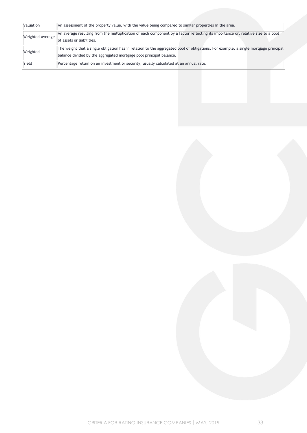| Valuation        | An assessment of the property value, with the value being compared to similar properties in the area.                                                                                                     |
|------------------|-----------------------------------------------------------------------------------------------------------------------------------------------------------------------------------------------------------|
| Weighted Average | An average resulting from the multiplication of each component by a factor reflecting its importance or, relative size to a pool<br>of assets or liabilities.                                             |
| Weighted         | The weight that a single obligation has in relation to the aggregated pool of obligations. For example, a single mortgage principal<br>balance divided by the aggregated mortgage pool principal balance. |
| Yield            | Percentage return on an investment or security, usually calculated at an annual rate.                                                                                                                     |